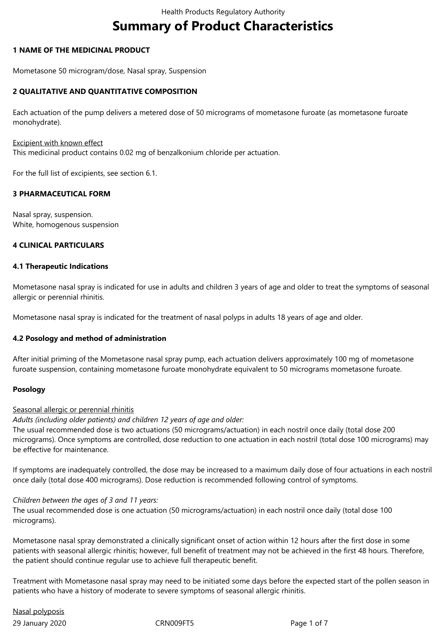# **Summary of Product Characteristics**

## **1 NAME OF THE MEDICINAL PRODUCT**

Mometasone 50 microgram/dose, Nasal spray, Suspension

## **2 QUALITATIVE AND QUANTITATIVE COMPOSITION**

Each actuation of the pump delivers a metered dose of 50 micrograms of mometasone furoate (as mometasone furoate monohydrate).

Excipient with known effect

This medicinal product contains 0.02 mg of benzalkonium chloride per actuation.

For the full list of excipients, see section 6.1.

## **3 PHARMACEUTICAL FORM**

Nasal spray, suspension. White, homogenous suspension

## **4 CLINICAL PARTICULARS**

#### **4.1 Therapeutic Indications**

Mometasone nasal spray is indicated for use in adults and children 3 years of age and older to treat the symptoms of seasonal allergic or perennial rhinitis.

Mometasone nasal spray is indicated for the treatment of nasal polyps in adults 18 years of age and older.

#### **4.2 Posology and method of administration**

After initial priming of the Mometasone nasal spray pump, each actuation delivers approximately 100 mg of mometasone furoate suspension, containing mometasone furoate monohydrate equivalent to 50 micrograms mometasone furoate.

## **Posology**

#### Seasonal allergic or perennial rhinitis

*Adults (including older patients) and children 12 years of age and older:*

The usual recommended dose is two actuations (50 micrograms/actuation) in each nostril once daily (total dose 200 micrograms). Once symptoms are controlled, dose reduction to one actuation in each nostril (total dose 100 micrograms) may be effective for maintenance.

If symptoms are inadequately controlled, the dose may be increased to a maximum daily dose of four actuations in each nostril once daily (total dose 400 micrograms). Dose reduction is recommended following control of symptoms.

*Children between the ages of 3 and 11 years:*

The usual recommended dose is one actuation (50 micrograms/actuation) in each nostril once daily (total dose 100 micrograms).

Mometasone nasal spray demonstrated a clinically significant onset of action within 12 hours after the first dose in some patients with seasonal allergic rhinitis; however, full benefit of treatment may not be achieved in the first 48 hours. Therefore, the patient should continue regular use to achieve full therapeutic benefit.

Treatment with Mometasone nasal spray may need to be initiated some days before the expected start of the pollen season in patients who have a history of moderate to severe symptoms of seasonal allergic rhinitis.

29 January 2020 CRN009FT5 Page 1 of 7 Nasal polyposis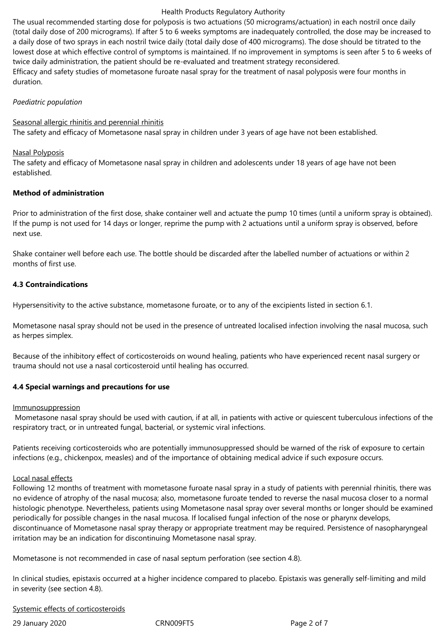The usual recommended starting dose for polyposis is two actuations (50 micrograms/actuation) in each nostril once daily (total daily dose of 200 micrograms). If after 5 to 6 weeks symptoms are inadequately controlled, the dose may be increased to a daily dose of two sprays in each nostril twice daily (total daily dose of 400 micrograms). The dose should be titrated to the lowest dose at which effective control of symptoms is maintained. If no improvement in symptoms is seen after 5 to 6 weeks of twice daily administration, the patient should be re-evaluated and treatment strategy reconsidered. Efficacy and safety studies of mometasone furoate nasal spray for the treatment of nasal polyposis were four months in duration.

#### *Paediatric population*

#### Seasonal allergic rhinitis and perennial rhinitis

The safety and efficacy of Mometasone nasal spray in children under 3 years of age have not been established.

#### Nasal Polyposis

The safety and efficacy of Mometasone nasal spray in children and adolescents under 18 years of age have not been established.

# **Method of administration**

Prior to administration of the first dose, shake container well and actuate the pump 10 times (until a uniform spray is obtained). If the pump is not used for 14 days or longer, reprime the pump with 2 actuations until a uniform spray is observed, before next use.

Shake container well before each use. The bottle should be discarded after the labelled number of actuations or within 2 months of first use.

#### **4.3 Contraindications**

Hypersensitivity to the active substance, mometasone furoate, or to any of the excipients listed in section 6.1.

Mometasone nasal spray should not be used in the presence of untreated localised infection involving the nasal mucosa, such as herpes simplex.

Because of the inhibitory effect of corticosteroids on wound healing, patients who have experienced recent nasal surgery or trauma should not use a nasal corticosteroid until healing has occurred.

#### **4.4 Special warnings and precautions for use**

#### Immunosuppression

 Mometasone nasal spray should be used with caution, if at all, in patients with active or quiescent tuberculous infections of the respiratory tract, or in untreated fungal, bacterial, or systemic viral infections.

Patients receiving corticosteroids who are potentially immunosuppressed should be warned of the risk of exposure to certain infections (e.g., chickenpox, measles) and of the importance of obtaining medical advice if such exposure occurs.

#### Local nasal effects

Following 12 months of treatment with mometasone furoate nasal spray in a study of patients with perennial rhinitis, there was no evidence of atrophy of the nasal mucosa; also, mometasone furoate tended to reverse the nasal mucosa closer to a normal histologic phenotype. Nevertheless, patients using Mometasone nasal spray over several months or longer should be examined periodically for possible changes in the nasal mucosa. If localised fungal infection of the nose or pharynx develops, discontinuance of Mometasone nasal spray therapy or appropriate treatment may be required. Persistence of nasopharyngeal irritation may be an indication for discontinuing Mometasone nasal spray.

Mometasone is not recommended in case of nasal septum perforation (see section 4.8).

In clinical studies, epistaxis occurred at a higher incidence compared to placebo. Epistaxis was generally self-limiting and mild in severity (see section 4.8).

#### Systemic effects of corticosteroids

29 January 2020 CRN009FT5 Page 2 of 7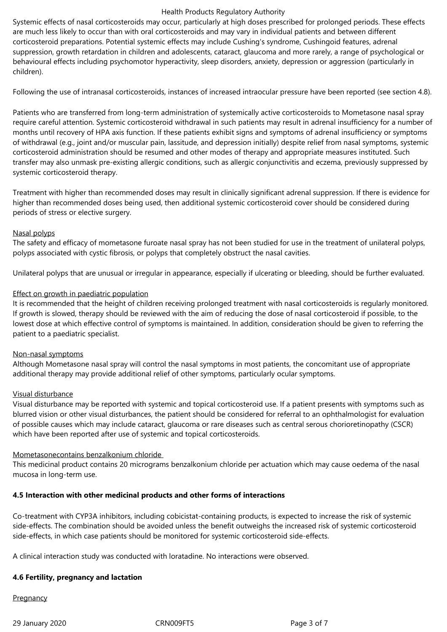Systemic effects of nasal corticosteroids may occur, particularly at high doses prescribed for prolonged periods. These effects are much less likely to occur than with oral corticosteroids and may vary in individual patients and between different corticosteroid preparations. Potential systemic effects may include Cushing's syndrome, Cushingoid features, adrenal suppression, growth retardation in children and adolescents, cataract, glaucoma and more rarely, a range of psychological or behavioural effects including psychomotor hyperactivity, sleep disorders, anxiety, depression or aggression (particularly in children).

Following the use of intranasal corticosteroids, instances of increased intraocular pressure have been reported (see section 4.8).

Patients who are transferred from long-term administration of systemically active corticosteroids to Mometasone nasal spray require careful attention. Systemic corticosteroid withdrawal in such patients may result in adrenal insufficiency for a number of months until recovery of HPA axis function. If these patients exhibit signs and symptoms of adrenal insufficiency or symptoms of withdrawal (e.g., joint and/or muscular pain, lassitude, and depression initially) despite relief from nasal symptoms, systemic corticosteroid administration should be resumed and other modes of therapy and appropriate measures instituted. Such transfer may also unmask pre-existing allergic conditions, such as allergic conjunctivitis and eczema, previously suppressed by systemic corticosteroid therapy.

Treatment with higher than recommended doses may result in clinically significant adrenal suppression. If there is evidence for higher than recommended doses being used, then additional systemic corticosteroid cover should be considered during periods of stress or elective surgery.

## Nasal polyps

The safety and efficacy of mometasone furoate nasal spray has not been studied for use in the treatment of unilateral polyps, polyps associated with cystic fibrosis, or polyps that completely obstruct the nasal cavities.

Unilateral polyps that are unusual or irregular in appearance, especially if ulcerating or bleeding, should be further evaluated.

## Effect on growth in paediatric population

It is recommended that the height of children receiving prolonged treatment with nasal corticosteroids is regularly monitored. If growth is slowed, therapy should be reviewed with the aim of reducing the dose of nasal corticosteroid if possible, to the lowest dose at which effective control of symptoms is maintained. In addition, consideration should be given to referring the patient to a paediatric specialist.

#### Non-nasal symptoms

Although Mometasone nasal spray will control the nasal symptoms in most patients, the concomitant use of appropriate additional therapy may provide additional relief of other symptoms, particularly ocular symptoms.

#### Visual disturbance

Visual disturbance may be reported with systemic and topical corticosteroid use. If a patient presents with symptoms such as blurred vision or other visual disturbances, the patient should be considered for referral to an ophthalmologist for evaluation of possible causes which may include cataract, glaucoma or rare diseases such as central serous chorioretinopathy (CSCR) which have been reported after use of systemic and topical corticosteroids.

#### Mometasonecontains benzalkonium chloride

This medicinal product contains 20 micrograms benzalkonium chloride per actuation which may cause oedema of the nasal mucosa in long-term use.

# **4.5 Interaction with other medicinal products and other forms of interactions**

Co-treatment with CYP3A inhibitors, including cobicistat-containing products, is expected to increase the risk of systemic side-effects. The combination should be avoided unless the benefit outweighs the increased risk of systemic corticosteroid side-effects, in which case patients should be monitored for systemic corticosteroid side-effects.

A clinical interaction study was conducted with loratadine. No interactions were observed.

# **4.6 Fertility, pregnancy and lactation**

Pregnancy

29 January 2020 CRN009FT5 Page 3 of 7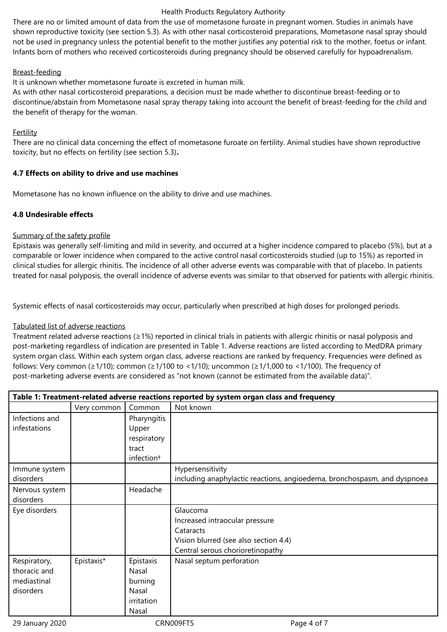There are no or limited amount of data from the use of mometasone furoate in pregnant women. Studies in animals have shown reproductive toxicity (see section 5.3). As with other nasal corticosteroid preparations, Mometasone nasal spray should not be used in pregnancy unless the potential benefit to the mother justifies any potential risk to the mother, foetus or infant. Infants born of mothers who received corticosteroids during pregnancy should be observed carefully for hypoadrenalism.

# Breast-feeding

It is unknown whether mometasone furoate is excreted in human milk.

As with other nasal corticosteroid preparations, a decision must be made whether to discontinue breast-feeding or to discontinue/abstain from Mometasone nasal spray therapy taking into account the benefit of breast-feeding for the child and the benefit of therapy for the woman.

## Fertility

There are no clinical data concerning the effect of mometasone furoate on fertility. Animal studies have shown reproductive toxicity, but no effects on fertility (see section 5.3)**.**

## **4.7 Effects on ability to drive and use machines**

Mometasone has no known influence on the ability to drive and use machines.

# **4.8 Undesirable effects**

## Summary of the safety profile

Epistaxis was generally self-limiting and mild in severity, and occurred at a higher incidence compared to placebo (5%), but at a comparable or lower incidence when compared to the active control nasal corticosteroids studied (up to 15%) as reported in clinical studies for allergic rhinitis. The incidence of all other adverse events was comparable with that of placebo. In patients treated for nasal polyposis, the overall incidence of adverse events was similar to that observed for patients with allergic rhinitis.

Systemic effects of nasal corticosteroids may occur, particularly when prescribed at high doses for prolonged periods.

# Tabulated list of adverse reactions

Treatment related adverse reactions (≥1%) reported in clinical trials in patients with allergic rhinitis or nasal polyposis and post-marketing regardless of indication are presented in Table 1. Adverse reactions are listed according to MedDRA primary system organ class. Within each system organ class, adverse reactions are ranked by frequency. Frequencies were defined as follows: Very common (≥1/10); common (≥1/100 to <1/10); uncommon (≥1/1,000 to <1/100). The frequency of post-marketing adverse events are considered as "not known (cannot be estimated from the available data)".

| Table 1: Treatment-related adverse reactions reported by system organ class and frequency |             |                        |                                                                          |  |  |
|-------------------------------------------------------------------------------------------|-------------|------------------------|--------------------------------------------------------------------------|--|--|
|                                                                                           | Very common | Common                 | Not known                                                                |  |  |
| Infections and                                                                            |             | Pharyngitis            |                                                                          |  |  |
| infestations                                                                              |             | Upper                  |                                                                          |  |  |
|                                                                                           |             | respiratory            |                                                                          |  |  |
|                                                                                           |             | tract                  |                                                                          |  |  |
|                                                                                           |             | infection <sup>+</sup> |                                                                          |  |  |
| Immune system                                                                             |             |                        | Hypersensitivity                                                         |  |  |
| disorders                                                                                 |             |                        | including anaphylactic reactions, angioedema, bronchospasm, and dyspnoea |  |  |
| Nervous system                                                                            |             | Headache               |                                                                          |  |  |
| disorders                                                                                 |             |                        |                                                                          |  |  |
| Eye disorders                                                                             |             |                        | Glaucoma                                                                 |  |  |
|                                                                                           |             |                        | Increased intraocular pressure                                           |  |  |
|                                                                                           |             |                        | Cataracts                                                                |  |  |
|                                                                                           |             |                        | Vision blurred (see also section 4.4)                                    |  |  |
|                                                                                           |             |                        | Central serous chorioretinopathy                                         |  |  |
| Respiratory,                                                                              | Epistaxis*  | Epistaxis              | Nasal septum perforation                                                 |  |  |
| thoracic and                                                                              |             | Nasal                  |                                                                          |  |  |
| mediastinal                                                                               |             | burning                |                                                                          |  |  |
| disorders                                                                                 |             | Nasal                  |                                                                          |  |  |
|                                                                                           |             | irritation             |                                                                          |  |  |
|                                                                                           |             | Nasal                  |                                                                          |  |  |

29 January 2020 CRN009FT5 Page 4 of 7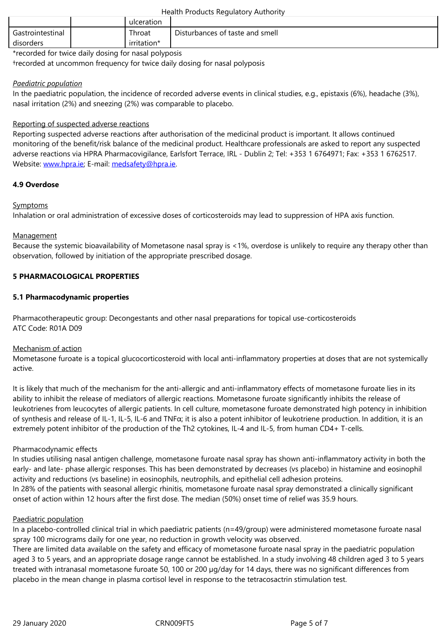| . .<br>dıc. |  |
|-------------|--|
|             |  |

\*recorded for twice daily dosing for nasal polyposis

†recorded at uncommon frequency for twice daily dosing for nasal polyposis

## *Paediatric population*

In the paediatric population, the incidence of recorded adverse events in clinical studies, e.g., epistaxis (6%), headache (3%), nasal irritation (2%) and sneezing (2%) was comparable to placebo.

# Reporting of suspected adverse reactions

Reporting suspected adverse reactions after authorisation of the medicinal product is important. It allows continued monitoring of the benefit/risk balance of the medicinal product. Healthcare professionals are asked to report any suspected adverse reactions via HPRA Pharmacovigilance, Earlsfort Terrace, IRL - Dublin 2; Tel: +353 1 6764971; Fax: +353 1 6762517. Website: www.hpra.ie; E-mail: medsafety@hpra.ie.

## **4.9 Overdose**

## Sympto[ms](http://www.hpra.ie/)

Inhalation or oral administration of excessive doses of corticosteroids may lead to suppression of HPA axis function.

## **Management**

Because the systemic bioavailability of Mometasone nasal spray is <1%, overdose is unlikely to require any therapy other than observation, followed by initiation of the appropriate prescribed dosage.

## **5 PHARMACOLOGICAL PROPERTIES**

## **5.1 Pharmacodynamic properties**

Pharmacotherapeutic group: Decongestants and other nasal preparations for topical use-corticosteroids ATC Code: R01A D09

#### Mechanism of action

Mometasone furoate is a topical glucocorticosteroid with local anti-inflammatory properties at doses that are not systemically active.

It is likely that much of the mechanism for the anti-allergic and anti-inflammatory effects of mometasone furoate lies in its ability to inhibit the release of mediators of allergic reactions. Mometasone furoate significantly inhibits the release of leukotrienes from leucocytes of allergic patients. In cell culture, mometasone furoate demonstrated high potency in inhibition of synthesis and release of IL-1, IL-5, IL-6 and TNFα; it is also a potent inhibitor of leukotriene production. In addition, it is an extremely potent inhibitor of the production of the Th2 cytokines, IL-4 and IL-5, from human CD4+ T-cells.

#### Pharmacodynamic effects

In studies utilising nasal antigen challenge, mometasone furoate nasal spray has shown anti-inflammatory activity in both the early- and late- phase allergic responses. This has been demonstrated by decreases (vs placebo) in histamine and eosinophil activity and reductions (vs baseline) in eosinophils, neutrophils, and epithelial cell adhesion proteins. In 28% of the patients with seasonal allergic rhinitis, mometasone furoate nasal spray demonstrated a clinically significant onset of action within 12 hours after the first dose. The median (50%) onset time of relief was 35.9 hours.

#### Paediatric population

In a placebo-controlled clinical trial in which paediatric patients (n=49/group) were administered mometasone furoate nasal spray 100 micrograms daily for one year, no reduction in growth velocity was observed.

There are limited data available on the safety and efficacy of mometasone furoate nasal spray in the paediatric population aged 3 to 5 years, and an appropriate dosage range cannot be established. In a study involving 48 children aged 3 to 5 years treated with intranasal mometasone furoate 50, 100 or 200 µg/day for 14 days, there was no significant differences from placebo in the mean change in plasma cortisol level in response to the tetracosactrin stimulation test.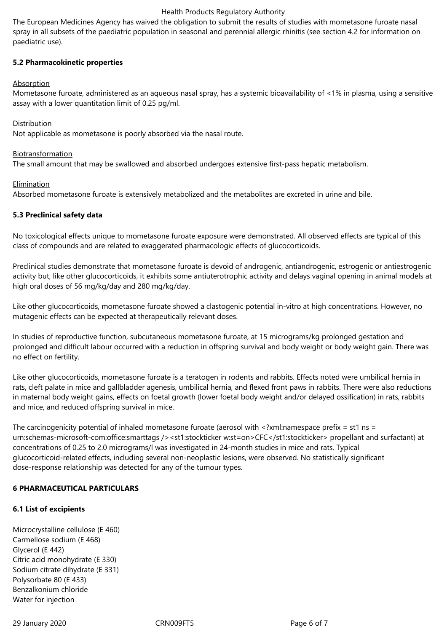The European Medicines Agency has waived the obligation to submit the results of studies with mometasone furoate nasal spray in all subsets of the paediatric population in seasonal and perennial allergic rhinitis (see section 4.2 for information on paediatric use).

# **5.2 Pharmacokinetic properties**

# Absorption

Mometasone furoate, administered as an aqueous nasal spray, has a systemic bioavailability of <1% in plasma, using a sensitive assay with a lower quantitation limit of 0.25 pg/ml.

## Distribution

Not applicable as mometasone is poorly absorbed via the nasal route.

## Biotransformation

The small amount that may be swallowed and absorbed undergoes extensive first-pass hepatic metabolism.

## **Elimination**

Absorbed mometasone furoate is extensively metabolized and the metabolites are excreted in urine and bile.

# **5.3 Preclinical safety data**

No toxicological effects unique to mometasone furoate exposure were demonstrated. All observed effects are typical of this class of compounds and are related to exaggerated pharmacologic effects of glucocorticoids.

Preclinical studies demonstrate that mometasone furoate is devoid of androgenic, antiandrogenic, estrogenic or antiestrogenic activity but, like other glucocorticoids, it exhibits some antiuterotrophic activity and delays vaginal opening in animal models at high oral doses of 56 mg/kg/day and 280 mg/kg/day.

Like other glucocorticoids, mometasone furoate showed a clastogenic potential in-vitro at high concentrations. However, no mutagenic effects can be expected at therapeutically relevant doses.

In studies of reproductive function, subcutaneous mometasone furoate, at 15 micrograms/kg prolonged gestation and prolonged and difficult labour occurred with a reduction in offspring survival and body weight or body weight gain. There was no effect on fertility.

Like other glucocorticoids, mometasone furoate is a teratogen in rodents and rabbits. Effects noted were umbilical hernia in rats, cleft palate in mice and gallbladder agenesis, umbilical hernia, and flexed front paws in rabbits. There were also reductions in maternal body weight gains, effects on foetal growth (lower foetal body weight and/or delayed ossification) in rats, rabbits and mice, and reduced offspring survival in mice.

The carcinogenicity potential of inhaled mometasone furoate (aerosol with <?xml:namespace prefix = st1 ns = urn:schemas-microsoft-com:office:smarttags /><st1:stockticker w:st=on>CFC</st1:stockticker> propellant and surfactant) at concentrations of 0.25 to 2.0 micrograms/l was investigated in 24-month studies in mice and rats. Typical glucocorticoid-related effects, including several non-neoplastic lesions, were observed. No statistically significant dose-response relationship was detected for any of the tumour types.

# **6 PHARMACEUTICAL PARTICULARS**

# **6.1 List of excipients**

Microcrystalline cellulose (E 460) Carmellose sodium (E 468) Glycerol (E 442) Citric acid monohydrate (E 330) Sodium citrate dihydrate (E 331) Polysorbate 80 (E 433) Benzalkonium chloride Water for injection